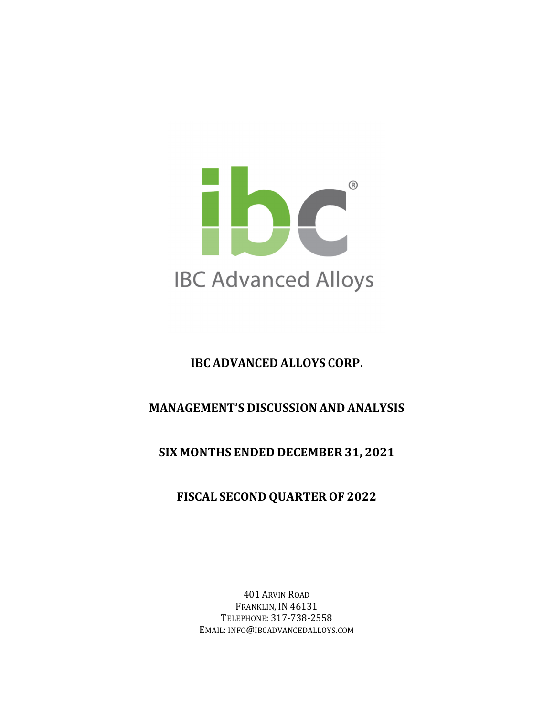

# **IBC ADVANCED ALLOYS CORP.**

# **MANAGEMENT'S DISCUSSION AND ANALYSIS**

# **SIX MONTHS ENDED DECEMBER 31, 2021**

# **FISCAL SECOND QUARTER OF 2022**

401 ARVIN ROAD FRANKLIN, IN 46131 TELEPHONE: 317-738-2558 EMAIL: INFO@IBCADVANCEDALLOYS.COM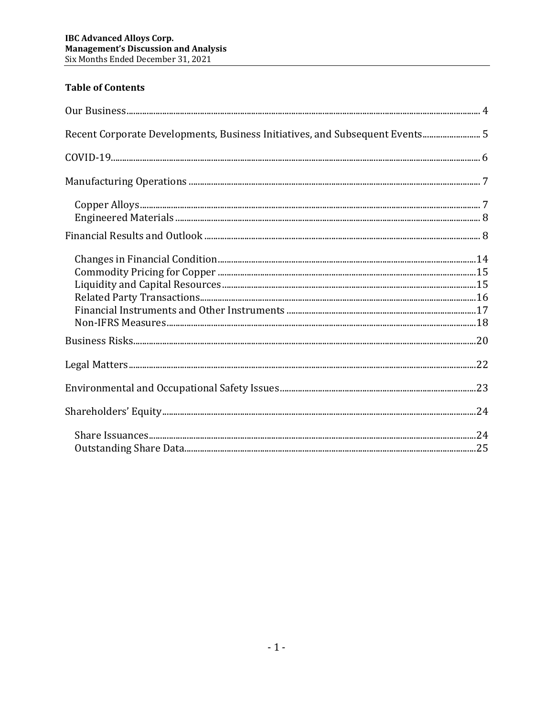# **Table of Contents**

| Recent Corporate Developments, Business Initiatives, and Subsequent Events 5 |  |
|------------------------------------------------------------------------------|--|
|                                                                              |  |
|                                                                              |  |
|                                                                              |  |
|                                                                              |  |
|                                                                              |  |
|                                                                              |  |
|                                                                              |  |
|                                                                              |  |
|                                                                              |  |
|                                                                              |  |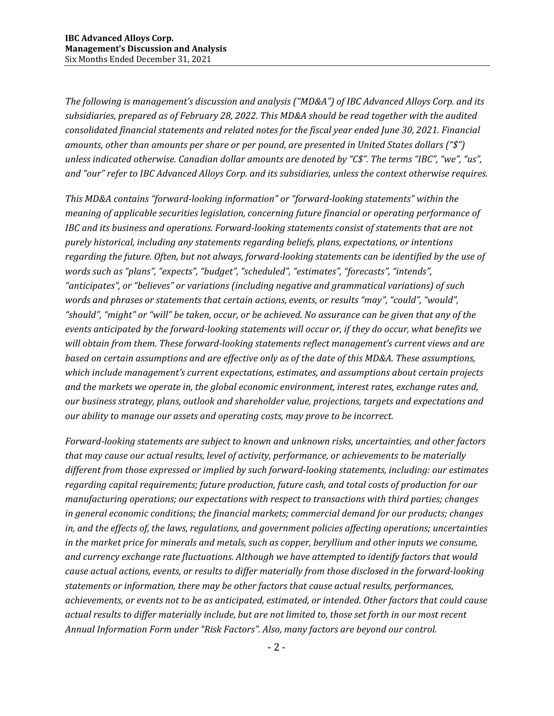*The following is management's discussion and analysis ("MD&A") of IBC Advanced Alloys Corp. and its subsidiaries, prepared as of February 28, 2022. This MD&A should be read together with the audited consolidated financial statements and related notes for the fiscal year ended June 30, 2021. Financial amounts, other than amounts per share or per pound, are presented in United States dollars ("\$") unless indicated otherwise. Canadian dollar amounts are denoted by "C\$". The terms "IBC", "we", "us", and "our" refer to IBC Advanced Alloys Corp. and its subsidiaries, unless the context otherwise requires.*

*This MD&A contains "forward‐looking information" or "forward‐looking statements" within the meaning of applicable securities legislation, concerning future financial or operating performance of IBC and its business and operations. Forward‐looking statements consist of statements that are not purely historical, including any statements regarding beliefs, plans, expectations, or intentions* regarding the future. Often, but not always, forward-looking statements can be identified by the use of *words such as "plans", "expects", "budget", "scheduled", "estimates", "forecasts", "intends", "anticipates", or "believes" or variations (including negative and grammatical variations) of such words and phrases or statements that certain actions, events, or results "may", "could", "would",* "should", "might" or "will" be taken, occur, or be achieved. No assurance can be given that any of the events anticipated by the forward-looking statements will occur or, if they do occur, what benefits we *will obtain from them. These forward‐looking statements reflect management's current views and are based on certain assumptions and are effective only as of the date of this MD&A. These assumptions, which include management's current expectations, estimates, and assumptions about certain projects and the markets we operate in, the global economic environment, interest rates, exchange rates and, our business strategy, plans, outlook and shareholder value, projections, targets and expectations and our ability to manage our assets and operating costs, may prove to be incorrect.*

*Forward‐looking statements are subject to known and unknown risks, uncertainties, and other factors that may cause our actual results, level of activity, performance, or achievements to be materially different from those expressed or implied by such forward‐looking statements, including: our estimates regarding capital requirements; future production, future cash, and total costs of production for our manufacturing operations; our expectations with respect to transactions with third parties; changes in general economic conditions; the financial markets; commercial demand for our products; changes in, and the effects of, the laws, regulations, and government policies affecting operations; uncertainties in the market price for minerals and metals, such as copper, beryllium and other inputs we consume, and currency exchange rate fluctuations. Although we have attempted to identify factors that would cause actual actions, events, or results to differ materially from those disclosed in the forward‐looking statements or information, there may be other factors that cause actual results, performances, achievements, or events not to be as anticipated, estimated, or intended. Other factors that could cause* actual results to differ materially include, but are not limited to, those set forth in our most recent *Annual Information Form under "Risk Factors". Also, many factors are beyond our control.*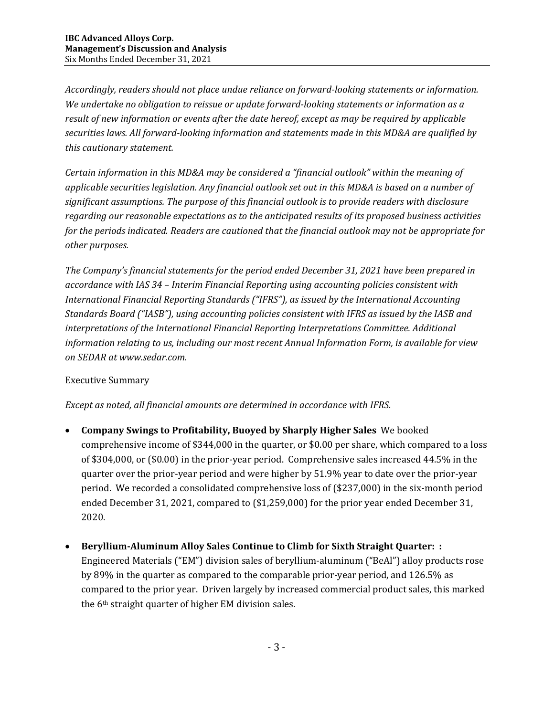*Accordingly, readers should not place undue reliance on forward‐looking statements or information. We undertake no obligation to reissue or update forward‐looking statements or information as a result of new information or events after the date hereof, except as may be required by applicable securities laws. All forward‐looking information and statements made in this MD&A are qualified by this cautionary statement.* 

*Certain information in this MD&A may be considered a "financial outlook" within the meaning of applicable securities legislation. Any financial outlook set out in this MD&A is based on a number of significant assumptions. The purpose of this financial outlook is to provide readers with disclosure regarding our reasonable expectations as to the anticipated results of its proposed business activities for the periods indicated. Readers are cautioned that the financial outlook may not be appropriate for*  $other$  *purposes.* 

*The Company's financial statements for the period ended December 31, 2021 have been prepared in accordance with IAS 34 – Interim Financial Reporting using accounting policies consistent with International Financial Reporting Standards ("IFRS"), as issued by the International Accounting Standards Board ("IASB"), using accounting policies consistent with IFRS as issued by the IASB and interpretations of the International Financial Reporting Interpretations Committee. Additional information relating to us, including our most recent Annual Information Form, is available for view on SEDAR at www.sedar.com.*

### Executive Summary

*Except as noted, all financial amounts are determined in accordance with IFRS.*

- **Company Swings to Profitability, Buoyed by Sharply Higher Sales** We booked comprehensive income of \$344,000 in the quarter, or \$0.00 per share, which compared to a loss of \$304,000, or (\$0.00) in the prior-year period. Comprehensive sales increased 44.5% in the quarter over the prior-year period and were higher by 51.9% year to date over the prior-year period. We recorded a consolidated comprehensive loss of (\$237,000) in the six-month period ended December 31, 2021, compared to (\$1,259,000) for the prior year ended December 31, 2020.
- **Beryllium‐Aluminum Alloy Sales Continue to Climb for Sixth Straight Quarter: :** Engineered Materials ("EM") division sales of beryllium-aluminum ("BeAl") alloy products rose by 89% in the quarter as compared to the comparable prior-year period, and 126.5% as compared to the prior year. Driven largely by increased commercial product sales, this marked the 6th straight quarter of higher EM division sales.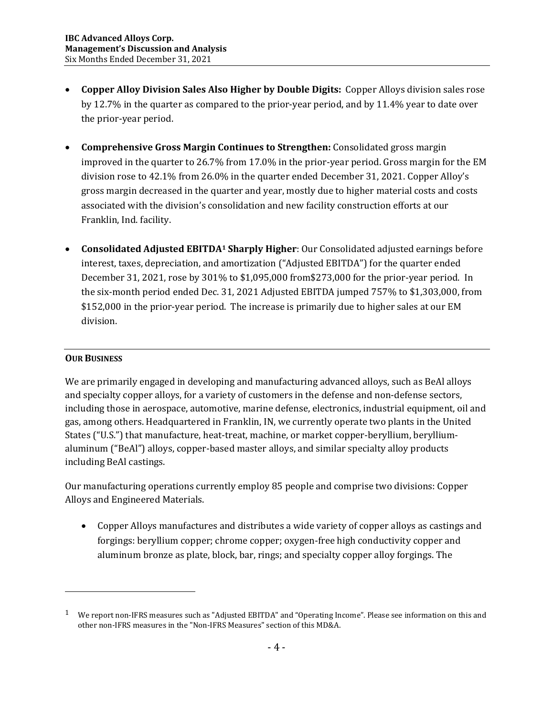- **Copper Alloy Division Sales Also Higher by Double Digits:** Copper Alloys division sales rose by 12.7% in the quarter as compared to the prior-year period, and by 11.4% year to date over the prior-year period.
- **Comprehensive Gross Margin Continues to Strengthen:** Consolidated gross margin improved in the quarter to 26.7% from 17.0% in the prior-year period. Gross margin for the EM division rose to 42.1% from 26.0% in the quarter ended December 31, 2021. Copper Alloy's gross margin decreased in the quarter and year, mostly due to higher material costs and costs associated with the division's consolidation and new facility construction efforts at our Franklin, Ind. facility.
- **Consolidated Adjusted EBITDA1 Sharply Higher**: Our Consolidated adjusted earnings before interest, taxes, depreciation, and amortization ("Adjusted EBITDA") for the quarter ended December 31, 2021, rose by 301% to \$1,095,000 from\$273,000 for the prior-year period. In the six-month period ended Dec. 31, 2021 Adjusted EBITDA jumped 757% to \$1,303,000, from \$152,000 in the prior-year period. The increase is primarily due to higher sales at our EM division.

### **OUR BUSINESS**

We are primarily engaged in developing and manufacturing advanced alloys, such as BeAl alloys and specialty copper alloys, for a variety of customers in the defense and non-defense sectors, including those in aerospace, automotive, marine defense, electronics, industrial equipment, oil and gas, among others. Headquartered in Franklin, IN, we currently operate two plants in the United States ("U.S.") that manufacture, heat-treat, machine, or market copper-beryllium, berylliumaluminum ("BeAl") alloys, copper-based master alloys, and similar specialty alloy products including BeAl castings.

Our manufacturing operations currently employ 85 people and comprise two divisions: Copper Alloys and Engineered Materials.

 Copper Alloys manufactures and distributes a wide variety of copper alloys as castings and forgings: beryllium copper; chrome copper; oxygen-free high conductivity copper and aluminum bronze as plate, block, bar, rings; and specialty copper alloy forgings. The

<sup>&</sup>lt;sup>1</sup> We report non-IFRS measures such as "Adjusted EBITDA" and "Operating Income". Please see information on this and other non-IFRS measures in the "Non-IFRS Measures" section of this MD&A.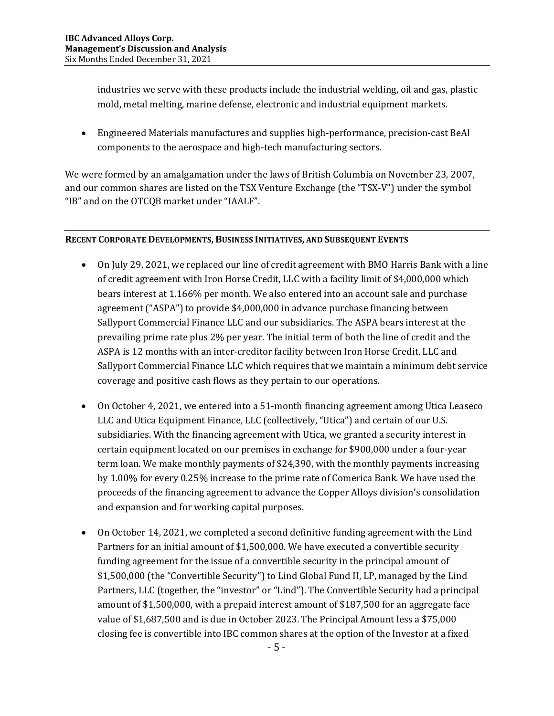industries we serve with these products include the industrial welding, oil and gas, plastic mold, metal melting, marine defense, electronic and industrial equipment markets.

 Engineered Materials manufactures and supplies high-performance, precision-cast BeAl components to the aerospace and high-tech manufacturing sectors.

We were formed by an amalgamation under the laws of British Columbia on November 23, 2007, and our common shares are listed on the TSX Venture Exchange (the "TSX-V") under the symbol "IB" and on the OTCQB market under "IAALF".

### **RECENT CORPORATE DEVELOPMENTS, BUSINESS INITIATIVES, AND SUBSEQUENT EVENTS**

- On July 29, 2021, we replaced our line of credit agreement with BMO Harris Bank with a line of credit agreement with Iron Horse Credit, LLC with a facility limit of \$4,000,000 which bears interest at 1.166% per month. We also entered into an account sale and purchase agreement ("ASPA") to provide \$4,000,000 in advance purchase financing between Sallyport Commercial Finance LLC and our subsidiaries. The ASPA bears interest at the prevailing prime rate plus 2% per year. The initial term of both the line of credit and the ASPA is 12 months with an inter-creditor facility between Iron Horse Credit, LLC and Sallyport Commercial Finance LLC which requires that we maintain a minimum debt service coverage and positive cash flows as they pertain to our operations.
- On October 4, 2021, we entered into a 51-month financing agreement among Utica Leaseco LLC and Utica Equipment Finance, LLC (collectively, "Utica") and certain of our U.S. subsidiaries. With the financing agreement with Utica, we granted a security interest in certain equipment located on our premises in exchange for \$900,000 under a four-year term loan. We make monthly payments of \$24,390, with the monthly payments increasing by 1.00% for every 0.25% increase to the prime rate of Comerica Bank. We have used the proceeds of the financing agreement to advance the Copper Alloys division's consolidation and expansion and for working capital purposes.
- On October 14, 2021, we completed a second definitive funding agreement with the Lind Partners for an initial amount of \$1,500,000. We have executed a convertible security funding agreement for the issue of a convertible security in the principal amount of \$1,500,000 (the "Convertible Security") to Lind Global Fund II, LP, managed by the Lind Partners, LLC (together, the "investor" or "Lind"). The Convertible Security had a principal amount of \$1,500,000, with a prepaid interest amount of \$187,500 for an aggregate face value of \$1,687,500 and is due in October 2023. The Principal Amount less a \$75,000 closing fee is convertible into IBC common shares at the option of the Investor at a fixed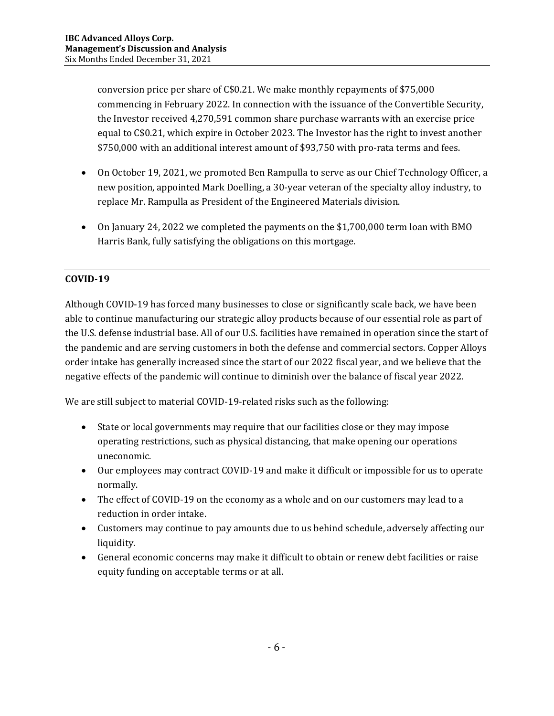conversion price per share of C\$0.21. We make monthly repayments of \$75,000 commencing in February 2022. In connection with the issuance of the Convertible Security, the Investor received 4,270,591 common share purchase warrants with an exercise price equal to C\$0.21, which expire in October 2023. The Investor has the right to invest another \$750,000 with an additional interest amount of \$93,750 with pro-rata terms and fees.

- On October 19, 2021, we promoted Ben Rampulla to serve as our Chief Technology Officer, a new position, appointed Mark Doelling, a 30-year veteran of the specialty alloy industry, to replace Mr. Rampulla as President of the Engineered Materials division.
- On January 24, 2022 we completed the payments on the \$1,700,000 term loan with BMO Harris Bank, fully satisfying the obligations on this mortgage.

# **COVID‐19**

Although COVID-19 has forced many businesses to close or significantly scale back, we have been able to continue manufacturing our strategic alloy products because of our essential role as part of the U.S. defense industrial base. All of our U.S. facilities have remained in operation since the start of the pandemic and are serving customers in both the defense and commercial sectors. Copper Alloys order intake has generally increased since the start of our 2022 fiscal year, and we believe that the negative effects of the pandemic will continue to diminish over the balance of fiscal year 2022.

We are still subject to material COVID-19-related risks such as the following:

- State or local governments may require that our facilities close or they may impose operating restrictions, such as physical distancing, that make opening our operations uneconomic.
- Our employees may contract COVID-19 and make it difficult or impossible for us to operate normally.
- The effect of COVID-19 on the economy as a whole and on our customers may lead to a reduction in order intake.
- Customers may continue to pay amounts due to us behind schedule, adversely affecting our liquidity.
- General economic concerns may make it difficult to obtain or renew debt facilities or raise equity funding on acceptable terms or at all.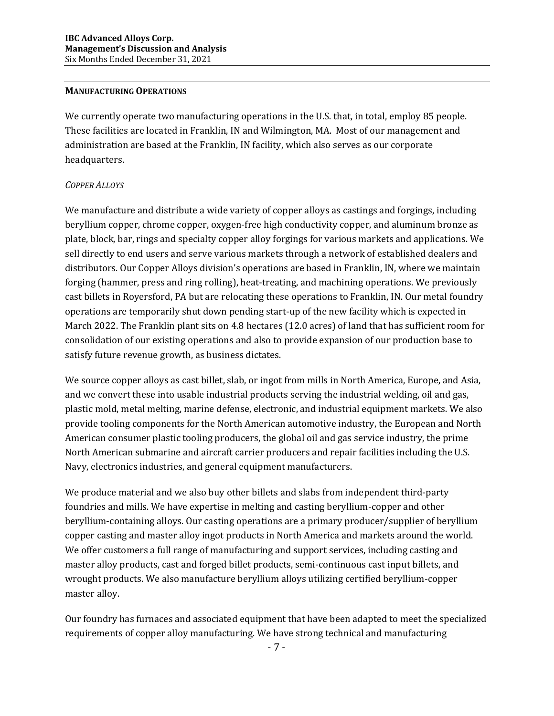#### **MANUFACTURING OPERATIONS**

We currently operate two manufacturing operations in the U.S. that, in total, employ 85 people. These facilities are located in Franklin, IN and Wilmington, MA. Most of our management and administration are based at the Franklin, IN facility, which also serves as our corporate headquarters.

#### *COPPER ALLOYS*

We manufacture and distribute a wide variety of copper alloys as castings and forgings, including beryllium copper, chrome copper, oxygen-free high conductivity copper, and aluminum bronze as plate, block, bar, rings and specialty copper alloy forgings for various markets and applications. We sell directly to end users and serve various markets through a network of established dealers and distributors. Our Copper Alloys division's operations are based in Franklin, IN, where we maintain forging (hammer, press and ring rolling), heat-treating, and machining operations. We previously cast billets in Royersford, PA but are relocating these operations to Franklin, IN. Our metal foundry operations are temporarily shut down pending start-up of the new facility which is expected in March 2022. The Franklin plant sits on 4.8 hectares (12.0 acres) of land that has sufficient room for consolidation of our existing operations and also to provide expansion of our production base to satisfy future revenue growth, as business dictates.

We source copper alloys as cast billet, slab, or ingot from mills in North America, Europe, and Asia, and we convert these into usable industrial products serving the industrial welding, oil and gas, plastic mold, metal melting, marine defense, electronic, and industrial equipment markets. We also provide tooling components for the North American automotive industry, the European and North American consumer plastic tooling producers, the global oil and gas service industry, the prime North American submarine and aircraft carrier producers and repair facilities including the U.S. Navy, electronics industries, and general equipment manufacturers.

We produce material and we also buy other billets and slabs from independent third-party foundries and mills. We have expertise in melting and casting beryllium-copper and other beryllium-containing alloys. Our casting operations are a primary producer/supplier of beryllium copper casting and master alloy ingot products in North America and markets around the world. We offer customers a full range of manufacturing and support services, including casting and master alloy products, cast and forged billet products, semi-continuous cast input billets, and wrought products. We also manufacture beryllium alloys utilizing certified beryllium-copper master alloy.

Our foundry has furnaces and associated equipment that have been adapted to meet the specialized requirements of copper alloy manufacturing. We have strong technical and manufacturing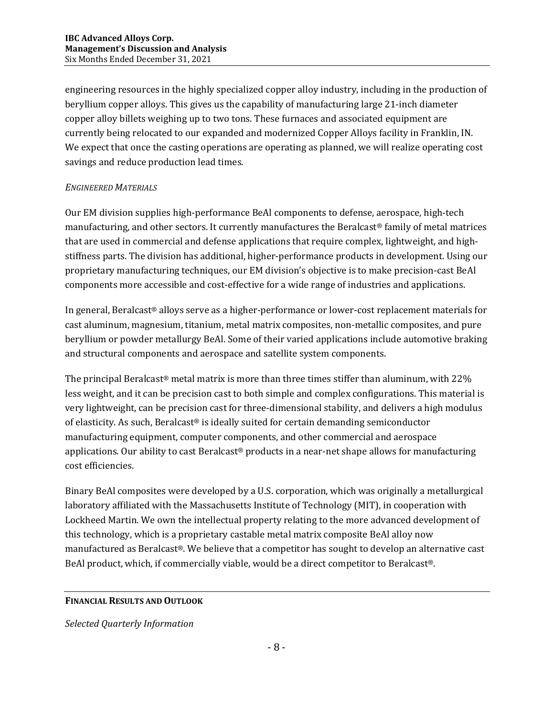engineering resources in the highly specialized copper alloy industry, including in the production of beryllium copper alloys. This gives us the capability of manufacturing large 21-inch diameter copper alloy billets weighing up to two tons. These furnaces and associated equipment are currently being relocated to our expanded and modernized Copper Alloys facility in Franklin, IN. We expect that once the casting operations are operating as planned, we will realize operating cost savings and reduce production lead times.

### *ENGINEERED MATERIALS*

Our EM division supplies high-performance BeAl components to defense, aerospace, high-tech manufacturing, and other sectors. It currently manufactures the Beralcast® family of metal matrices that are used in commercial and defense applications that require complex, lightweight, and highstiffness parts. The division has additional, higher-performance products in development. Using our proprietary manufacturing techniques, our EM division's objective is to make precision-cast BeAl components more accessible and cost-effective for a wide range of industries and applications.

In general, Beralcast® alloys serve as a higher-performance or lower-cost replacement materials for cast aluminum, magnesium, titanium, metal matrix composites, non-metallic composites, and pure beryllium or powder metallurgy BeAl. Some of their varied applications include automotive braking and structural components and aerospace and satellite system components.

The principal Beralcast<sup>®</sup> metal matrix is more than three times stiffer than aluminum, with  $22\%$ less weight, and it can be precision cast to both simple and complex configurations. This material is very lightweight, can be precision cast for three-dimensional stability, and delivers a high modulus of elasticity. As such, Beralcast® is ideally suited for certain demanding semiconductor manufacturing equipment, computer components, and other commercial and aerospace applications. Our ability to cast Beralcast® products in a near-net shape allows for manufacturing cost efficiencies.

Binary BeAl composites were developed by a U.S. corporation, which was originally a metallurgical laboratory affiliated with the Massachusetts Institute of Technology (MIT), in cooperation with Lockheed Martin. We own the intellectual property relating to the more advanced development of this technology, which is a proprietary castable metal matrix composite BeAl alloy now manufactured as Beralcast®. We believe that a competitor has sought to develop an alternative cast BeAl product, which, if commercially viable, would be a direct competitor to Beralcast®.

### **FINANCIAL RESULTS AND OUTLOOK**

*Selected Quarterly Information*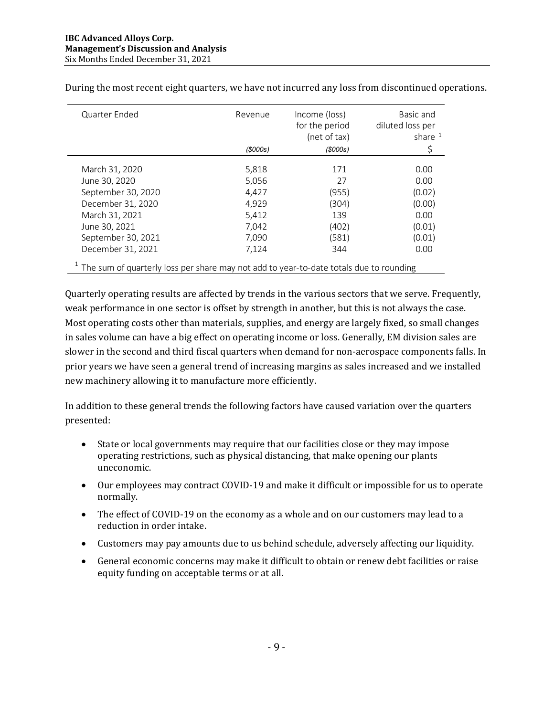| Quarter Ended                                                                              | Revenue  | Income (loss)<br>for the period<br>(net of tax) | Basic and<br>diluted loss per<br>share $1$ |
|--------------------------------------------------------------------------------------------|----------|-------------------------------------------------|--------------------------------------------|
|                                                                                            | (\$000s) | (\$000s)                                        | Ş                                          |
| March 31, 2020                                                                             | 5,818    | 171                                             | 0.00                                       |
| June 30, 2020                                                                              | 5,056    | 27                                              | 0.00                                       |
| September 30, 2020                                                                         | 4.427    | (955)                                           | (0.02)                                     |
| December 31, 2020                                                                          | 4,929    | (304)                                           | (0.00)                                     |
| March 31, 2021                                                                             | 5,412    | 139                                             | 0.00                                       |
| June 30, 2021                                                                              | 7,042    | (402)                                           | (0.01)                                     |
| September 30, 2021                                                                         | 7,090    | (581)                                           | (0.01)                                     |
| December 31, 2021                                                                          | 7,124    | 344                                             | 0.00                                       |
| $1$ The sum of quarterly loss per share may not add to year-to-date totals due to rounding |          |                                                 |                                            |

During the most recent eight quarters, we have not incurred any loss from discontinued operations.

Quarterly operating results are affected by trends in the various sectors that we serve. Frequently, weak performance in one sector is offset by strength in another, but this is not always the case. Most operating costs other than materials, supplies, and energy are largely fixed, so small changes in sales volume can have a big effect on operating income or loss. Generally, EM division sales are slower in the second and third fiscal quarters when demand for non-aerospace components falls. In prior years we have seen a general trend of increasing margins as sales increased and we installed new machinery allowing it to manufacture more efficiently.

In addition to these general trends the following factors have caused variation over the quarters presented:

- State or local governments may require that our facilities close or they may impose operating restrictions, such as physical distancing, that make opening our plants uneconomic.
- Our employees may contract COVID-19 and make it difficult or impossible for us to operate normally.
- The effect of COVID-19 on the economy as a whole and on our customers may lead to a reduction in order intake.
- Customers may pay amounts due to us behind schedule, adversely affecting our liquidity.
- General economic concerns may make it difficult to obtain or renew debt facilities or raise equity funding on acceptable terms or at all.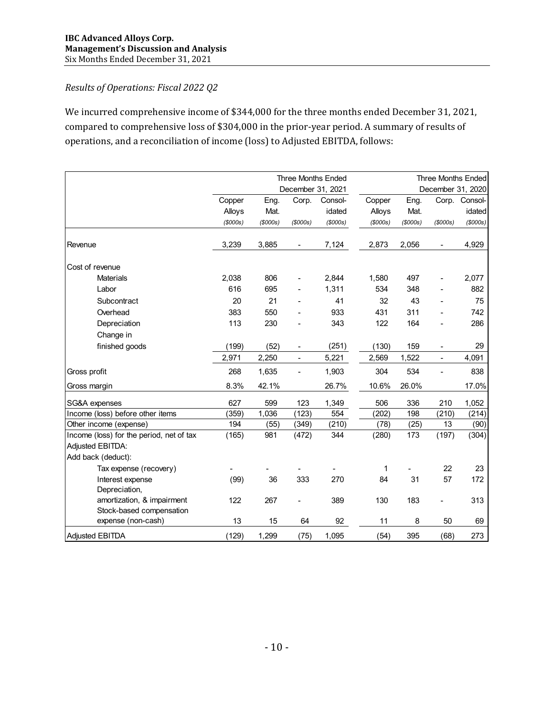## *Results of Operations: Fiscal 2022 Q2*

We incurred comprehensive income of \$344,000 for the three months ended December 31, 2021, compared to comprehensive loss of \$304,000 in the prior-year period. A summary of results of operations, and a reconciliation of income (loss) to Adjusted EBITDA, follows:

|                                          |         |                |                | <b>Three Months Ended</b> |                |                |                | <b>Three Months Ended</b> |
|------------------------------------------|---------|----------------|----------------|---------------------------|----------------|----------------|----------------|---------------------------|
|                                          |         |                |                | December 31, 2021         |                |                |                | December 31, 2020         |
|                                          | Copper  | Eng.           | Corp.          | Consol-                   | Copper         | Eng.           |                | Corp. Consol-             |
|                                          | Alloys  | Mat.           |                | idated                    | Alloys         | Mat.           |                | idated                    |
|                                          | (S000s) | $($ \$000s $)$ | $($ \$000s $)$ | $($ \$000s $)$            | $($ \$000s $)$ | $($ \$000s $)$ | $($ \$000s $)$ | $($ \$000s $)$            |
|                                          |         |                |                |                           |                |                |                |                           |
| Revenue                                  | 3,239   | 3,885          | $\blacksquare$ | 7,124                     | 2,873          | 2,056          | $\blacksquare$ | 4,929                     |
| Cost of revenue                          |         |                |                |                           |                |                |                |                           |
| <b>Materials</b>                         | 2,038   | 806            |                | 2,844                     | 1,580          | 497            | $\blacksquare$ | 2,077                     |
| Labor                                    | 616     | 695            |                | 1,311                     | 534            | 348            |                | 882                       |
| Subcontract                              | 20      | 21             |                | 41                        | 32             | 43             |                | 75                        |
| Overhead                                 | 383     | 550            |                | 933                       | 431            | 311            |                | 742                       |
| Depreciation                             | 113     | 230            |                | 343                       | 122            | 164            |                | 286                       |
| Change in                                |         |                |                |                           |                |                |                |                           |
| finished goods                           | (199)   | (52)           | $\blacksquare$ | (251)                     | (130)          | 159            | $\blacksquare$ | 29                        |
|                                          | 2,971   | 2,250          | ÷,             | 5,221                     | 2,569          | 1,522          | $\blacksquare$ | 4,091                     |
| Gross profit                             | 268     | 1,635          | ÷,             | 1,903                     | 304            | 534            | L,             | 838                       |
| Gross margin                             | 8.3%    | 42.1%          |                | 26.7%                     | 10.6%          | 26.0%          |                | 17.0%                     |
| SG&A expenses                            | 627     | 599            | 123            | 1,349                     | 506            | 336            | 210            | 1,052                     |
| Income (loss) before other items         | (359)   | 1,036          | (123)          | 554                       | (202)          | 198            | (210)          | (214)                     |
| Other income (expense)                   | 194     | (55)           | (349)          | (210)                     | (78)           | (25)           | 13             | (90)                      |
| Income (loss) for the period, net of tax | (165)   | 981            | (472)          | 344                       | (280)          | 173            | (197)          | (304)                     |
| Adjusted EBITDA:                         |         |                |                |                           |                |                |                |                           |
| Add back (deduct):                       |         |                |                |                           |                |                |                |                           |
| Tax expense (recovery)                   |         |                |                |                           | 1              |                | 22             | 23                        |
| Interest expense                         | (99)    | 36             | 333            | 270                       | 84             | 31             | 57             | 172                       |
| Depreciation,                            |         |                |                |                           |                |                |                |                           |
| amortization, & impairment               | 122     | 267            |                | 389                       | 130            | 183            |                | 313                       |
| Stock-based compensation                 |         |                |                |                           |                |                |                |                           |
| expense (non-cash)                       | 13      | 15             | 64             | 92                        | 11             | 8              | 50             | 69                        |
| <b>Adjusted EBITDA</b>                   | (129)   | 1,299          | (75)           | 1,095                     | (54)           | 395            | (68)           | 273                       |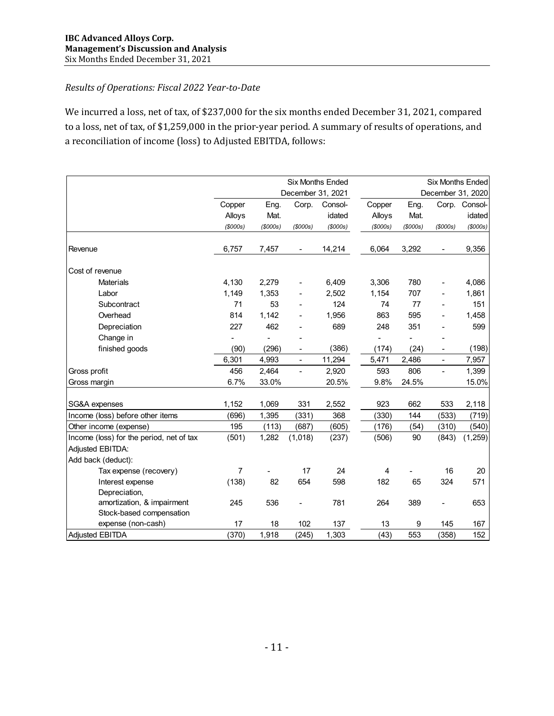### *Results of Operations: Fiscal 2022 Year‐to‐Date*

We incurred a loss, net of tax, of \$237,000 for the six months ended December 31, 2021, compared to a loss, net of tax, of \$1,259,000 in the prior-year period. A summary of results of operations, and a reconciliation of income (loss) to Adjusted EBITDA, follows:

|                                          |                |                |                              | <b>Six Months Ended</b> |                |         |                          | <b>Six Months Ended</b> |
|------------------------------------------|----------------|----------------|------------------------------|-------------------------|----------------|---------|--------------------------|-------------------------|
|                                          |                |                | December 31, 2021            |                         |                |         | December 31, 2020        |                         |
|                                          | Copper         | Eng.           | Corp.                        | Consol-                 | Copper         | Eng.    |                          | Corp. Consol-           |
|                                          | Alloys         | Mat.           |                              | idated                  | Alloys         | Mat.    |                          | idated                  |
|                                          | $($ \$000s $)$ | $($ \$000s $)$ | $($ \$000s $)$               | $($ \$000s $)$          | $($ \$000s $)$ | (5000s) | $($ \$000s $)$           | $($ \$000s $)$          |
| Revenue                                  | 6,757          | 7,457          |                              | 14,214                  | 6,064          | 3,292   |                          | 9,356                   |
| Cost of revenue                          |                |                |                              |                         |                |         |                          |                         |
| <b>Materials</b>                         | 4,130          | 2,279          | $\qquad \qquad \blacksquare$ | 6,409                   | 3.306          | 780     |                          | 4,086                   |
| Labor                                    | 1,149          | 1,353          |                              | 2,502                   | 1,154          | 707     |                          | 1,861                   |
| Subcontract                              | 71             | 53             |                              | 124                     | 74             | 77      |                          | 151                     |
| Overhead                                 | 814            | 1,142          |                              | 1,956                   | 863            | 595     |                          | 1,458                   |
| Depreciation                             | 227            | 462            |                              | 689                     | 248            | 351     |                          | 599                     |
| Change in                                |                |                |                              |                         |                | ä,      |                          |                         |
| finished goods                           | (90)           | (296)          | ٠                            | (386)                   | (174)          | (24)    | $\overline{\phantom{a}}$ | (198)                   |
|                                          | 6,301          | 4,993          | $\blacksquare$               | 11,294                  | 5,471          | 2,486   | $\blacksquare$           | 7,957                   |
| Gross profit                             | 456            | 2,464          |                              | 2,920                   | 593            | 806     | $\blacksquare$           | 1,399                   |
| Gross margin                             | 6.7%           | 33.0%          |                              | 20.5%                   | 9.8%           | 24.5%   |                          | 15.0%                   |
| SG&A expenses                            | 1,152          | 1,069          | 331                          | 2,552                   | 923            | 662     | 533                      | 2,118                   |
| Income (loss) before other items         | (696)          | 1,395          | (331)                        | 368                     | (330)          | 144     | (533)                    | (719)                   |
| Other income (expense)                   | 195            | (113)          | (687)                        | (605)                   | (176)          | (54)    | (310)                    | (540)                   |
| Income (loss) for the period, net of tax | (501)          | 1,282          | (1,018)                      | (237)                   | (506)          | 90      | (843)                    | (1, 259)                |
| Adjusted EBITDA:                         |                |                |                              |                         |                |         |                          |                         |
| Add back (deduct):                       |                |                |                              |                         |                |         |                          |                         |
| Tax expense (recovery)                   | $\overline{7}$ |                | 17                           | 24                      | 4              |         | 16                       | 20                      |
| Interest expense                         | (138)          | 82             | 654                          | 598                     | 182            | 65      | 324                      | 571                     |
| Depreciation,                            |                |                |                              |                         |                |         |                          |                         |
| amortization, & impairment               | 245            | 536            |                              | 781                     | 264            | 389     | $\blacksquare$           | 653                     |
| Stock-based compensation                 |                |                |                              |                         |                |         |                          |                         |
| expense (non-cash)                       | 17             | 18             | 102                          | 137                     | 13             | 9       | 145                      | 167                     |
| <b>Adjusted EBITDA</b>                   | (370)          | 1,918          | (245)                        | 1,303                   | (43)           | 553     | (358)                    | 152                     |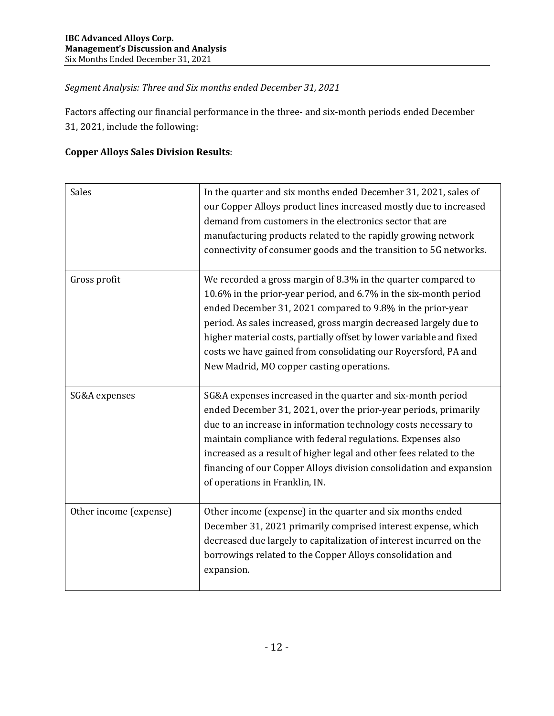## *Segment Analysis: Three and Six months ended December 31, 2021*

Factors affecting our financial performance in the three- and six-month periods ended December 31, 2021, include the following:

## **Copper Alloys Sales Division Results**:

| <b>Sales</b>           | In the quarter and six months ended December 31, 2021, sales of<br>our Copper Alloys product lines increased mostly due to increased<br>demand from customers in the electronics sector that are<br>manufacturing products related to the rapidly growing network<br>connectivity of consumer goods and the transition to 5G networks.                                                                                                                     |
|------------------------|------------------------------------------------------------------------------------------------------------------------------------------------------------------------------------------------------------------------------------------------------------------------------------------------------------------------------------------------------------------------------------------------------------------------------------------------------------|
| Gross profit           | We recorded a gross margin of 8.3% in the quarter compared to<br>10.6% in the prior-year period, and 6.7% in the six-month period<br>ended December 31, 2021 compared to 9.8% in the prior-year<br>period. As sales increased, gross margin decreased largely due to<br>higher material costs, partially offset by lower variable and fixed<br>costs we have gained from consolidating our Royersford, PA and<br>New Madrid, MO copper casting operations. |
| SG&A expenses          | SG&A expenses increased in the quarter and six-month period<br>ended December 31, 2021, over the prior-year periods, primarily<br>due to an increase in information technology costs necessary to<br>maintain compliance with federal regulations. Expenses also<br>increased as a result of higher legal and other fees related to the<br>financing of our Copper Alloys division consolidation and expansion<br>of operations in Franklin, IN.           |
| Other income (expense) | Other income (expense) in the quarter and six months ended<br>December 31, 2021 primarily comprised interest expense, which<br>decreased due largely to capitalization of interest incurred on the<br>borrowings related to the Copper Alloys consolidation and<br>expansion.                                                                                                                                                                              |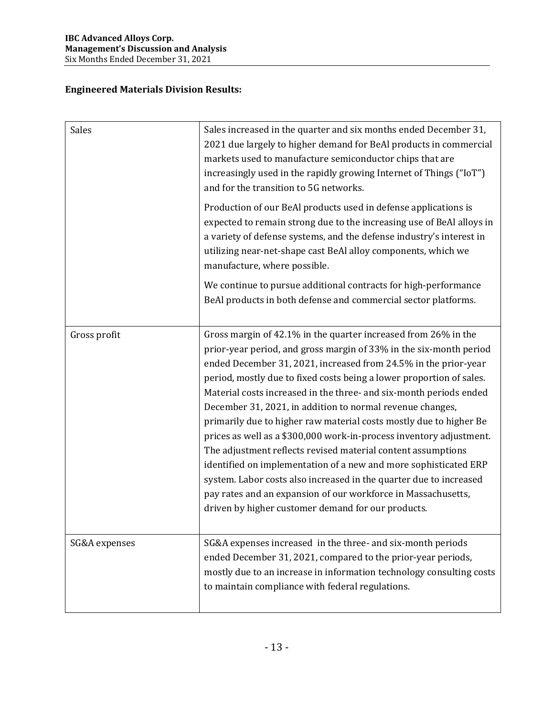# **Engineered Materials Division Results:**

| Sales         | Sales increased in the quarter and six months ended December 31,<br>2021 due largely to higher demand for BeAl products in commercial<br>markets used to manufacture semiconductor chips that are<br>increasingly used in the rapidly growing Internet of Things ("IoT")<br>and for the transition to 5G networks.                                                                                                                                                                                                                                                                                                                                                                                                                                                                                                                                                                               |
|---------------|--------------------------------------------------------------------------------------------------------------------------------------------------------------------------------------------------------------------------------------------------------------------------------------------------------------------------------------------------------------------------------------------------------------------------------------------------------------------------------------------------------------------------------------------------------------------------------------------------------------------------------------------------------------------------------------------------------------------------------------------------------------------------------------------------------------------------------------------------------------------------------------------------|
|               | Production of our BeAl products used in defense applications is<br>expected to remain strong due to the increasing use of BeAl alloys in<br>a variety of defense systems, and the defense industry's interest in<br>utilizing near-net-shape cast BeAl alloy components, which we<br>manufacture, where possible.                                                                                                                                                                                                                                                                                                                                                                                                                                                                                                                                                                                |
|               | We continue to pursue additional contracts for high-performance<br>BeAl products in both defense and commercial sector platforms.                                                                                                                                                                                                                                                                                                                                                                                                                                                                                                                                                                                                                                                                                                                                                                |
| Gross profit  | Gross margin of 42.1% in the quarter increased from 26% in the<br>prior-year period, and gross margin of 33% in the six-month period<br>ended December 31, 2021, increased from 24.5% in the prior-year<br>period, mostly due to fixed costs being a lower proportion of sales.<br>Material costs increased in the three- and six-month periods ended<br>December 31, 2021, in addition to normal revenue changes,<br>primarily due to higher raw material costs mostly due to higher Be<br>prices as well as a \$300,000 work-in-process inventory adjustment.<br>The adjustment reflects revised material content assumptions<br>identified on implementation of a new and more sophisticated ERP<br>system. Labor costs also increased in the quarter due to increased<br>pay rates and an expansion of our workforce in Massachusetts,<br>driven by higher customer demand for our products. |
| SG&A expenses | SG&A expenses increased in the three- and six-month periods<br>ended December 31, 2021, compared to the prior-year periods,<br>mostly due to an increase in information technology consulting costs<br>to maintain compliance with federal regulations.                                                                                                                                                                                                                                                                                                                                                                                                                                                                                                                                                                                                                                          |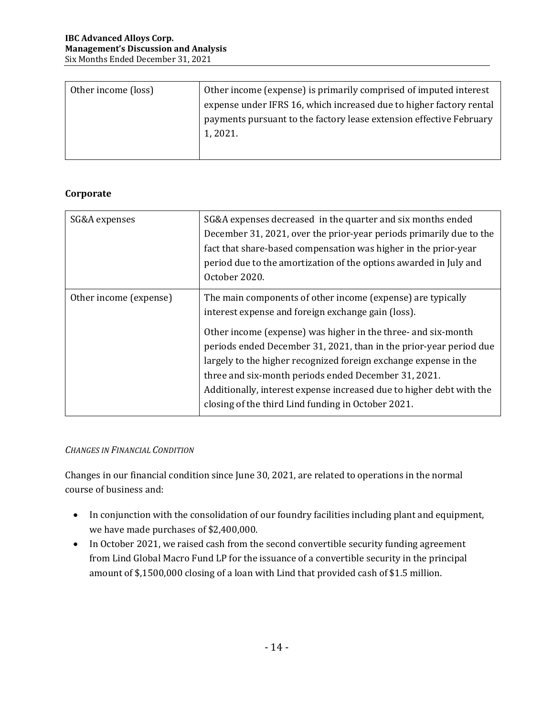| Other income (loss) | Other income (expense) is primarily comprised of imputed interest   |
|---------------------|---------------------------------------------------------------------|
|                     | expense under IFRS 16, which increased due to higher factory rental |
|                     | payments pursuant to the factory lease extension effective February |
|                     | 1, 2021.                                                            |
|                     |                                                                     |

### **Corporate**

| SG&A expenses          | SG&A expenses decreased in the quarter and six months ended<br>December 31, 2021, over the prior-year periods primarily due to the<br>fact that share-based compensation was higher in the prior-year<br>period due to the amortization of the options awarded in July and<br>October 2020.                                                                                                                                                                                                                        |
|------------------------|--------------------------------------------------------------------------------------------------------------------------------------------------------------------------------------------------------------------------------------------------------------------------------------------------------------------------------------------------------------------------------------------------------------------------------------------------------------------------------------------------------------------|
| Other income (expense) | The main components of other income (expense) are typically<br>interest expense and foreign exchange gain (loss).<br>Other income (expense) was higher in the three- and six-month<br>periods ended December 31, 2021, than in the prior-year period due<br>largely to the higher recognized foreign exchange expense in the<br>three and six-month periods ended December 31, 2021.<br>Additionally, interest expense increased due to higher debt with the<br>closing of the third Lind funding in October 2021. |

### *CHANGES IN FINANCIAL CONDITION*

Changes in our financial condition since June 30, 2021, are related to operations in the normal course of business and:

- In conjunction with the consolidation of our foundry facilities including plant and equipment, we have made purchases of \$2,400,000.
- In October 2021, we raised cash from the second convertible security funding agreement from Lind Global Macro Fund LP for the issuance of a convertible security in the principal amount of \$,1500,000 closing of a loan with Lind that provided cash of \$1.5 million.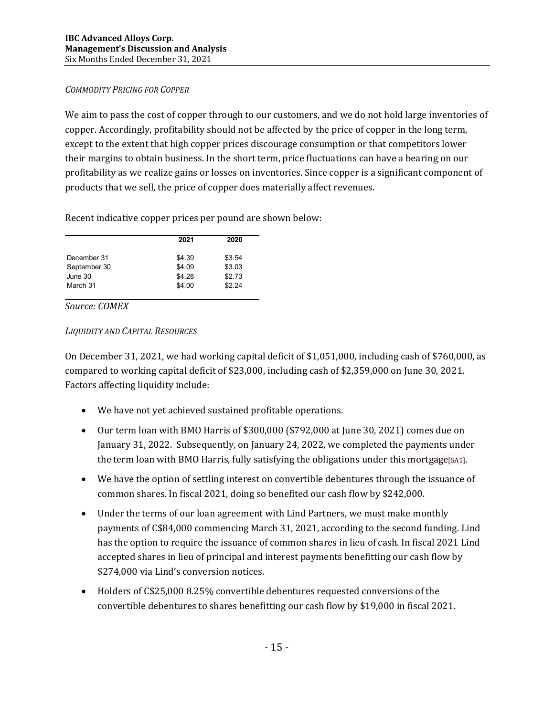### *COMMODITY PRICING FOR COPPER*

We aim to pass the cost of copper through to our customers, and we do not hold large inventories of copper. Accordingly, profitability should not be affected by the price of copper in the long term, except to the extent that high copper prices discourage consumption or that competitors lower their margins to obtain business. In the short term, price fluctuations can have a bearing on our profitability as we realize gains or losses on inventories. Since copper is a significant component of products that we sell, the price of copper does materially affect revenues.

Recent indicative copper prices per pound are shown below:

|              | 2021   | 2020   |
|--------------|--------|--------|
| December 31  | \$4.39 | \$3.54 |
| September 30 | \$4.09 | \$3.03 |
| June 30      | \$4.28 | \$2.73 |
| March 31     | \$4.00 | \$2.24 |

*Source: COMEX*

#### *LIQUIDITY AND CAPITAL RESOURCES*

On December 31, 2021, we had working capital deficit of \$1,051,000, including cash of \$760,000, as compared to working capital deficit of \$23,000, including cash of \$2,359,000 on June 30, 2021. Factors affecting liquidity include:

- We have not yet achieved sustained profitable operations.
- Our term loan with BMO Harris of \$300,000 (\$792,000 at June 30, 2021) comes due on January 31, 2022. Subsequently, on January 24, 2022, we completed the payments under the term loan with BMO Harris, fully satisfying the obligations under this mortgage [SA1].
- We have the option of settling interest on convertible debentures through the issuance of common shares. In fiscal 2021, doing so benefited our cash flow by \$242,000.
- Under the terms of our loan agreement with Lind Partners, we must make monthly payments of C\$84,000 commencing March 31, 2021, according to the second funding. Lind has the option to require the issuance of common shares in lieu of cash. In fiscal 2021 Lind accepted shares in lieu of principal and interest payments benefitting our cash flow by \$274,000 via Lind's conversion notices.
- Holders of C\$25,000 8.25% convertible debentures requested conversions of the convertible debentures to shares benefitting our cash flow by \$19,000 in fiscal 2021.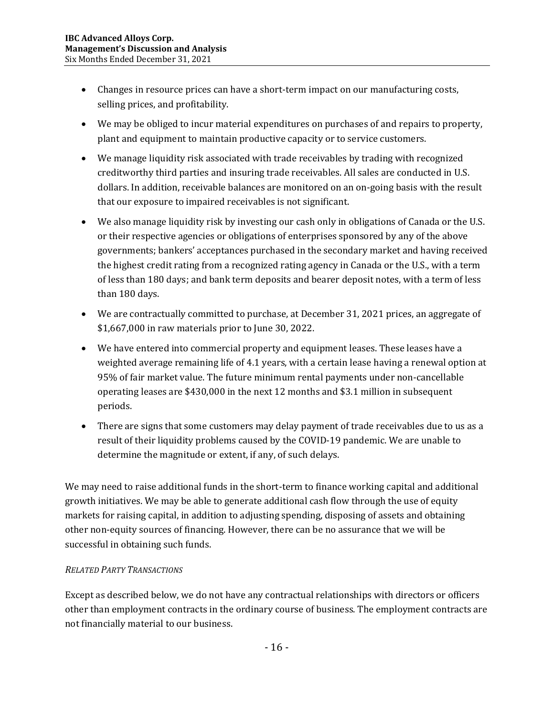- Changes in resource prices can have a short-term impact on our manufacturing costs, selling prices, and profitability.
- We may be obliged to incur material expenditures on purchases of and repairs to property, plant and equipment to maintain productive capacity or to service customers.
- We manage liquidity risk associated with trade receivables by trading with recognized creditworthy third parties and insuring trade receivables. All sales are conducted in U.S. dollars. In addition, receivable balances are monitored on an on-going basis with the result that our exposure to impaired receivables is not significant.
- We also manage liquidity risk by investing our cash only in obligations of Canada or the U.S. or their respective agencies or obligations of enterprises sponsored by any of the above governments; bankers' acceptances purchased in the secondary market and having received the highest credit rating from a recognized rating agency in Canada or the U.S., with a term of less than 180 days; and bank term deposits and bearer deposit notes, with a term of less than 180 days.
- We are contractually committed to purchase, at December 31, 2021 prices, an aggregate of \$1,667,000 in raw materials prior to June 30, 2022.
- We have entered into commercial property and equipment leases. These leases have a weighted average remaining life of 4.1 years, with a certain lease having a renewal option at 95% of fair market value. The future minimum rental payments under non-cancellable operating leases are \$430,000 in the next 12 months and \$3.1 million in subsequent periods.
- There are signs that some customers may delay payment of trade receivables due to us as a result of their liquidity problems caused by the COVID-19 pandemic. We are unable to determine the magnitude or extent, if any, of such delays.

We may need to raise additional funds in the short-term to finance working capital and additional growth initiatives. We may be able to generate additional cash flow through the use of equity markets for raising capital, in addition to adjusting spending, disposing of assets and obtaining other non-equity sources of financing. However, there can be no assurance that we will be successful in obtaining such funds.

## *RELATED PARTY TRANSACTIONS*

Except as described below, we do not have any contractual relationships with directors or officers other than employment contracts in the ordinary course of business. The employment contracts are not financially material to our business.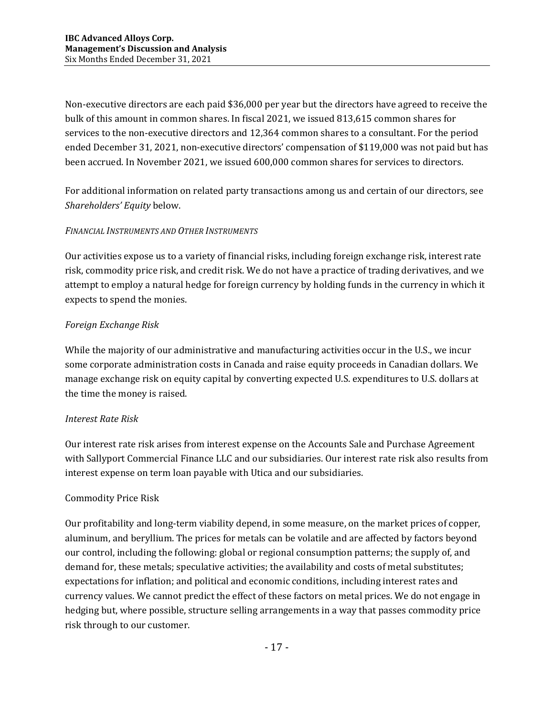Non-executive directors are each paid \$36,000 per year but the directors have agreed to receive the bulk of this amount in common shares. In fiscal 2021, we issued 813,615 common shares for services to the non-executive directors and 12,364 common shares to a consultant. For the period ended December 31, 2021, non-executive directors' compensation of \$119,000 was not paid but has been accrued. In November 2021, we issued 600,000 common shares for services to directors.

For additional information on related party transactions among us and certain of our directors, see *Shareholders' Equity* below.

### *FINANCIAL INSTRUMENTS AND OTHER INSTRUMENTS*

Our activities expose us to a variety of financial risks, including foreign exchange risk, interest rate risk, commodity price risk, and credit risk. We do not have a practice of trading derivatives, and we attempt to employ a natural hedge for foreign currency by holding funds in the currency in which it expects to spend the monies.

### *Foreign Exchange Risk*

While the majority of our administrative and manufacturing activities occur in the U.S., we incur some corporate administration costs in Canada and raise equity proceeds in Canadian dollars. We manage exchange risk on equity capital by converting expected U.S. expenditures to U.S. dollars at the time the money is raised.

### *Interest Rate Risk*

Our interest rate risk arises from interest expense on the Accounts Sale and Purchase Agreement with Sallyport Commercial Finance LLC and our subsidiaries. Our interest rate risk also results from interest expense on term loan payable with Utica and our subsidiaries.

### Commodity Price Risk

Our profitability and long-term viability depend, in some measure, on the market prices of copper, aluminum, and beryllium. The prices for metals can be volatile and are affected by factors beyond our control, including the following: global or regional consumption patterns; the supply of, and demand for, these metals; speculative activities; the availability and costs of metal substitutes; expectations for inflation; and political and economic conditions, including interest rates and currency values. We cannot predict the effect of these factors on metal prices. We do not engage in hedging but, where possible, structure selling arrangements in a way that passes commodity price risk through to our customer.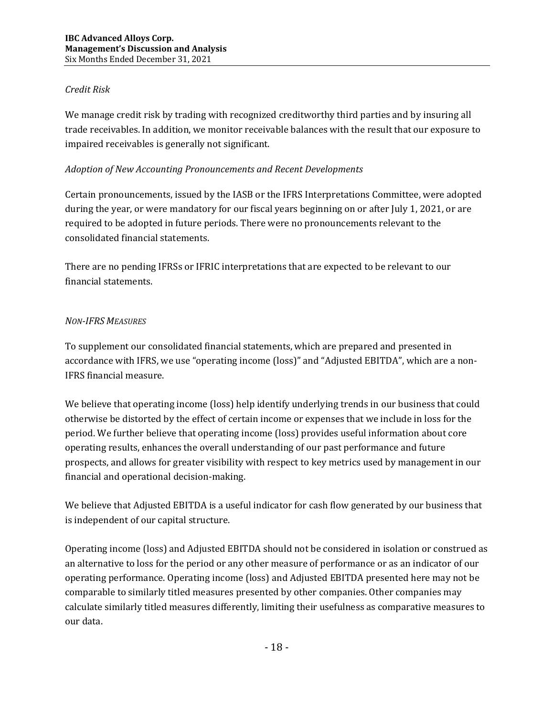### *Credit Risk*

We manage credit risk by trading with recognized creditworthy third parties and by insuring all trade receivables. In addition, we monitor receivable balances with the result that our exposure to impaired receivables is generally not significant.

### *Adoption of New Accounting Pronouncements and Recent Developments*

Certain pronouncements, issued by the IASB or the IFRS Interpretations Committee, were adopted during the year, or were mandatory for our fiscal years beginning on or after July 1, 2021, or are required to be adopted in future periods. There were no pronouncements relevant to the consolidated financial statements.

There are no pending IFRSs or IFRIC interpretations that are expected to be relevant to our financial statements.

### *NON‐IFRS MEASURES*

To supplement our consolidated financial statements, which are prepared and presented in accordance with IFRS, we use "operating income (loss)" and "Adjusted EBITDA", which are a non-IFRS financial measure.

We believe that operating income (loss) help identify underlying trends in our business that could otherwise be distorted by the effect of certain income or expenses that we include in loss for the period. We further believe that operating income (loss) provides useful information about core operating results, enhances the overall understanding of our past performance and future prospects, and allows for greater visibility with respect to key metrics used by management in our financial and operational decision-making.

We believe that Adjusted EBITDA is a useful indicator for cash flow generated by our business that is independent of our capital structure.

Operating income (loss) and Adjusted EBITDA should not be considered in isolation or construed as an alternative to loss for the period or any other measure of performance or as an indicator of our operating performance. Operating income (loss) and Adjusted EBITDA presented here may not be comparable to similarly titled measures presented by other companies. Other companies may calculate similarly titled measures differently, limiting their usefulness as comparative measures to our data.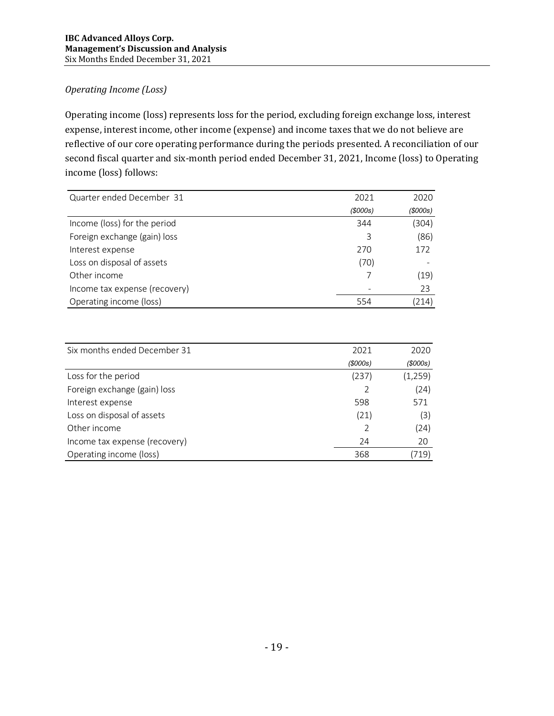### *Operating Income (Loss)*

Operating income (loss) represents loss for the period, excluding foreign exchange loss, interest expense, interest income, other income (expense) and income taxes that we do not believe are reflective of our core operating performance during the periods presented. A reconciliation of our second fiscal quarter and six-month period ended December 31, 2021, Income (loss) to Operating income (loss) follows:

| Quarter ended December 31     | 2021    | 2020           |
|-------------------------------|---------|----------------|
|                               | (5000s) | $($ \$000s $)$ |
| Income (loss) for the period  | 344     | (304)          |
| Foreign exchange (gain) loss  | 3       | (86)           |
| Interest expense              | 270     | 172            |
| Loss on disposal of assets    | (70)    |                |
| Other income                  |         | (19)           |
| Income tax expense (recovery) |         | 23             |
| Operating income (loss)       | 554     | 214)           |

| Six months ended December 31  | 2021   | 2020           |
|-------------------------------|--------|----------------|
|                               | (000s) | $($ \$000s $)$ |
| Loss for the period           | (237)  | (1, 259)       |
| Foreign exchange (gain) loss  |        | (24)           |
| Interest expense              | 598    | 571            |
| Loss on disposal of assets    | (21)   | (3)            |
| Other income                  |        | (24)           |
| Income tax expense (recovery) | 24     | 20             |
| Operating income (loss)       | 368    | 719)           |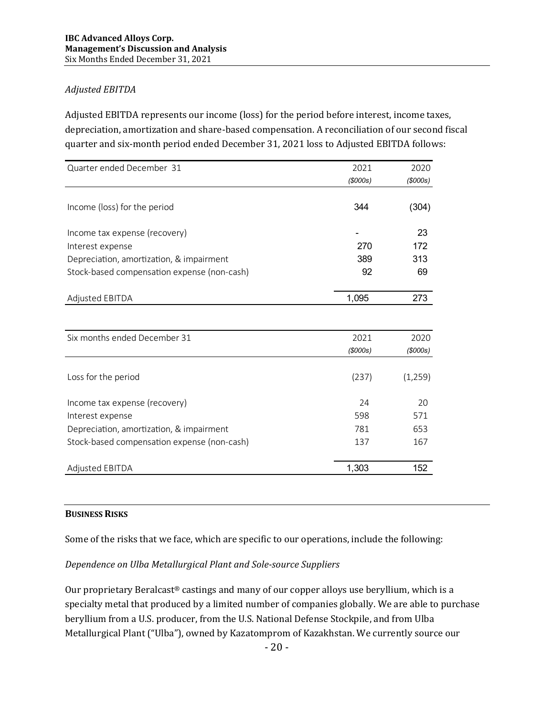### *Adjusted EBITDA*

Adjusted EBITDA represents our income (loss) for the period before interest, income taxes, depreciation, amortization and share-based compensation. A reconciliation of our second fiscal quarter and six-month period ended December 31, 2021 loss to Adjusted EBITDA follows:

| Quarter ended December 31                   | 2021     | 2020     |
|---------------------------------------------|----------|----------|
|                                             | (\$000s) | (5000s)  |
| Income (loss) for the period                | 344      | (304)    |
| Income tax expense (recovery)               |          | 23       |
| Interest expense                            | 270      | 172      |
| Depreciation, amortization, & impairment    | 389      | 313      |
| Stock-based compensation expense (non-cash) | 92       | 69       |
| Adjusted EBITDA                             | 1,095    | 273      |
|                                             |          |          |
| Six months ended December 31                | 2021     | 2020     |
|                                             | (5000s)  | (5000s)  |
| Loss for the period                         | (237)    | (1, 259) |
| Income tax expense (recovery)               | 24       | 20       |
| Interest expense                            | 598      | 571      |
| Depreciation, amortization, & impairment    | 781      | 653      |
| Stock-based compensation expense (non-cash) | 137      | 167      |
| Adjusted EBITDA                             | 1,303    | 152      |

#### **BUSINESS RISKS**

Some of the risks that we face, which are specific to our operations, include the following:

### *Dependence on Ulba Metallurgical Plant and Sole‐source Suppliers*

Our proprietary Beralcast® castings and many of our copper alloys use beryllium, which is a specialty metal that produced by a limited number of companies globally. We are able to purchase beryllium from a U.S. producer, from the U.S. National Defense Stockpile, and from Ulba Metallurgical Plant ("Ulba"), owned by Kazatomprom of Kazakhstan. We currently source our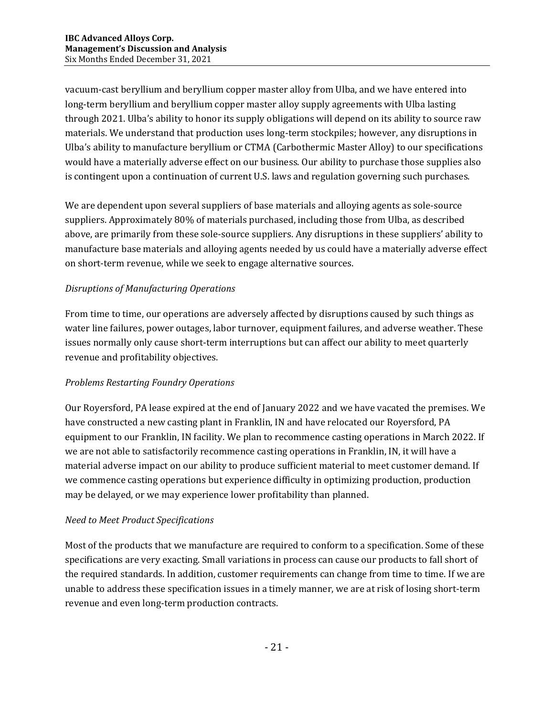vacuum-cast beryllium and beryllium copper master alloy from Ulba, and we have entered into long-term beryllium and beryllium copper master alloy supply agreements with Ulba lasting through 2021. Ulba's ability to honor its supply obligations will depend on its ability to source raw materials. We understand that production uses long-term stockpiles; however, any disruptions in Ulba's ability to manufacture beryllium or CTMA (Carbothermic Master Alloy) to our specifications would have a materially adverse effect on our business. Our ability to purchase those supplies also is contingent upon a continuation of current U.S. laws and regulation governing such purchases.

We are dependent upon several suppliers of base materials and alloying agents as sole-source suppliers. Approximately 80% of materials purchased, including those from Ulba, as described above, are primarily from these sole-source suppliers. Any disruptions in these suppliers' ability to manufacture base materials and alloying agents needed by us could have a materially adverse effect on short-term revenue, while we seek to engage alternative sources.

## *Disruptions of Manufacturing Operations*

From time to time, our operations are adversely affected by disruptions caused by such things as water line failures, power outages, labor turnover, equipment failures, and adverse weather. These issues normally only cause short-term interruptions but can affect our ability to meet quarterly revenue and profitability objectives.

### *Problems Restarting Foundry Operations*

Our Royersford, PA lease expired at the end of January 2022 and we have vacated the premises. We have constructed a new casting plant in Franklin, IN and have relocated our Royersford, PA equipment to our Franklin, IN facility. We plan to recommence casting operations in March 2022. If we are not able to satisfactorily recommence casting operations in Franklin, IN, it will have a material adverse impact on our ability to produce sufficient material to meet customer demand. If we commence casting operations but experience difficulty in optimizing production, production may be delayed, or we may experience lower profitability than planned.

### *Need to Meet Product Specifications*

Most of the products that we manufacture are required to conform to a specification. Some of these specifications are very exacting. Small variations in process can cause our products to fall short of the required standards. In addition, customer requirements can change from time to time. If we are unable to address these specification issues in a timely manner, we are at risk of losing short-term revenue and even long-term production contracts.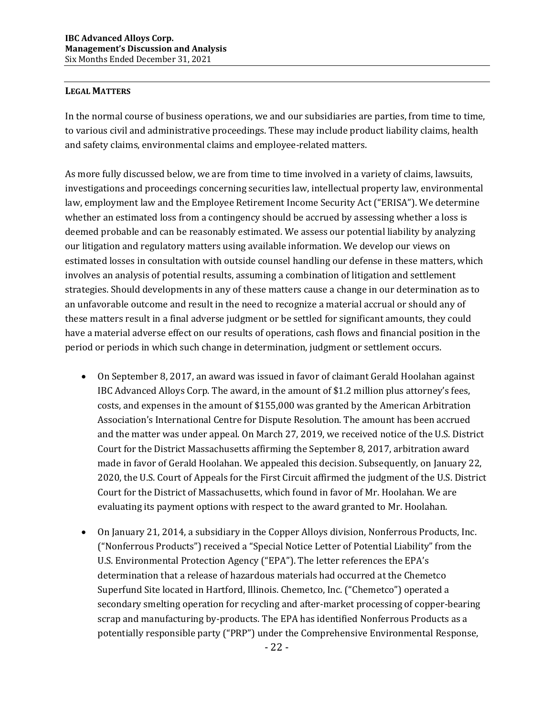#### **LEGAL MATTERS**

In the normal course of business operations, we and our subsidiaries are parties, from time to time, to various civil and administrative proceedings. These may include product liability claims, health and safety claims, environmental claims and employee-related matters.

As more fully discussed below, we are from time to time involved in a variety of claims, lawsuits, investigations and proceedings concerning securities law, intellectual property law, environmental law, employment law and the Employee Retirement Income Security Act ("ERISA"). We determine whether an estimated loss from a contingency should be accrued by assessing whether a loss is deemed probable and can be reasonably estimated. We assess our potential liability by analyzing our litigation and regulatory matters using available information. We develop our views on estimated losses in consultation with outside counsel handling our defense in these matters, which involves an analysis of potential results, assuming a combination of litigation and settlement strategies. Should developments in any of these matters cause a change in our determination as to an unfavorable outcome and result in the need to recognize a material accrual or should any of these matters result in a final adverse judgment or be settled for significant amounts, they could have a material adverse effect on our results of operations, cash flows and financial position in the period or periods in which such change in determination, judgment or settlement occurs.

- On September 8, 2017, an award was issued in favor of claimant Gerald Hoolahan against IBC Advanced Alloys Corp. The award, in the amount of \$1.2 million plus attorney's fees, costs, and expenses in the amount of \$155,000 was granted by the American Arbitration Association's International Centre for Dispute Resolution. The amount has been accrued and the matter was under appeal. On March 27, 2019, we received notice of the U.S. District Court for the District Massachusetts affirming the September 8, 2017, arbitration award made in favor of Gerald Hoolahan. We appealed this decision. Subsequently, on January 22, 2020, the U.S. Court of Appeals for the First Circuit affirmed the judgment of the U.S. District Court for the District of Massachusetts, which found in favor of Mr. Hoolahan. We are evaluating its payment options with respect to the award granted to Mr. Hoolahan.
- On January 21, 2014, a subsidiary in the Copper Alloys division, Nonferrous Products, Inc. ("Nonferrous Products") received a "Special Notice Letter of Potential Liability" from the U.S. Environmental Protection Agency ("EPA"). The letter references the EPA's determination that a release of hazardous materials had occurred at the Chemetco Superfund Site located in Hartford, Illinois. Chemetco, Inc. ("Chemetco") operated a secondary smelting operation for recycling and after-market processing of copper-bearing scrap and manufacturing by-products. The EPA has identified Nonferrous Products as a potentially responsible party ("PRP") under the Comprehensive Environmental Response,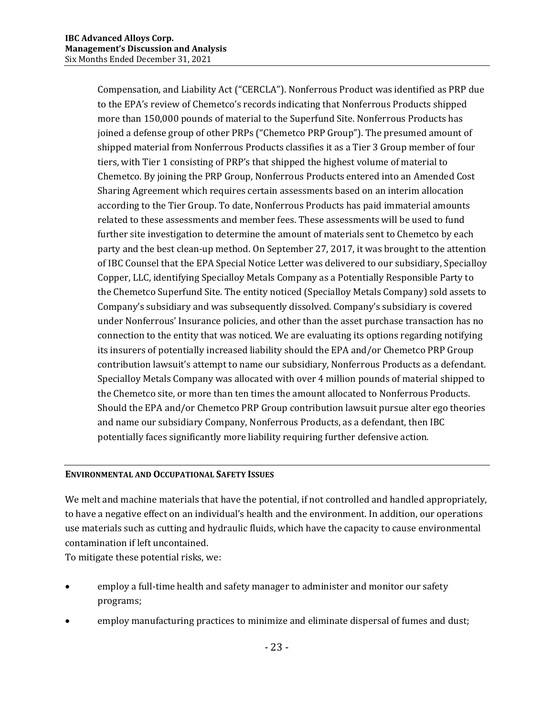Compensation, and Liability Act ("CERCLA"). Nonferrous Product was identified as PRP due to the EPA's review of Chemetco's records indicating that Nonferrous Products shipped more than 150,000 pounds of material to the Superfund Site. Nonferrous Products has joined a defense group of other PRPs ("Chemetco PRP Group"). The presumed amount of shipped material from Nonferrous Products classifies it as a Tier 3 Group member of four tiers, with Tier 1 consisting of PRP's that shipped the highest volume of material to Chemetco. By joining the PRP Group, Nonferrous Products entered into an Amended Cost Sharing Agreement which requires certain assessments based on an interim allocation according to the Tier Group. To date, Nonferrous Products has paid immaterial amounts related to these assessments and member fees. These assessments will be used to fund further site investigation to determine the amount of materials sent to Chemetco by each party and the best clean-up method. On September 27, 2017, it was brought to the attention of IBC Counsel that the EPA Special Notice Letter was delivered to our subsidiary, Specialloy Copper, LLC, identifying Specialloy Metals Company as a Potentially Responsible Party to the Chemetco Superfund Site. The entity noticed (Specialloy Metals Company) sold assets to Company's subsidiary and was subsequently dissolved. Company's subsidiary is covered under Nonferrous' Insurance policies, and other than the asset purchase transaction has no connection to the entity that was noticed. We are evaluating its options regarding notifying its insurers of potentially increased liability should the EPA and/or Chemetco PRP Group contribution lawsuit's attempt to name our subsidiary, Nonferrous Products as a defendant. Specialloy Metals Company was allocated with over 4 million pounds of material shipped to the Chemetco site, or more than ten times the amount allocated to Nonferrous Products. Should the EPA and/or Chemetco PRP Group contribution lawsuit pursue alter ego theories and name our subsidiary Company, Nonferrous Products, as a defendant, then IBC potentially faces significantly more liability requiring further defensive action.

#### **ENVIRONMENTAL AND OCCUPATIONAL SAFETY ISSUES**

We melt and machine materials that have the potential, if not controlled and handled appropriately, to have a negative effect on an individual's health and the environment. In addition, our operations use materials such as cutting and hydraulic fluids, which have the capacity to cause environmental contamination if left uncontained.

To mitigate these potential risks, we:

- employ a full-time health and safety manager to administer and monitor our safety programs;
- employ manufacturing practices to minimize and eliminate dispersal of fumes and dust;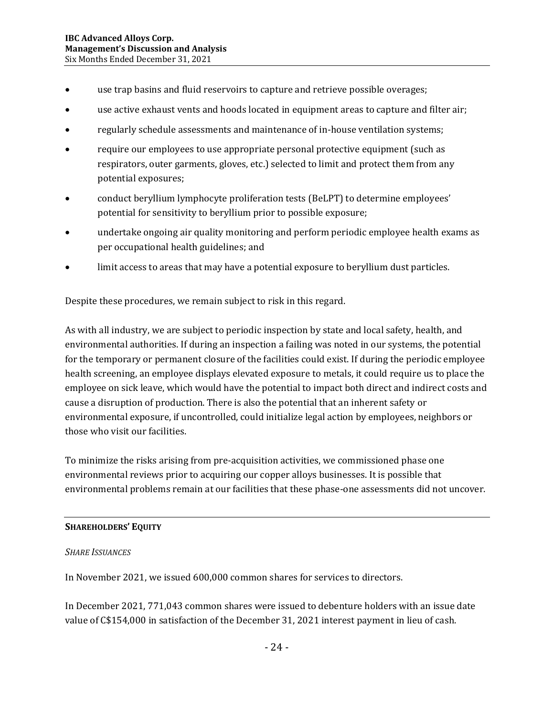- use trap basins and fluid reservoirs to capture and retrieve possible overages;
- use active exhaust vents and hoods located in equipment areas to capture and filter air;
- regularly schedule assessments and maintenance of in-house ventilation systems;
- require our employees to use appropriate personal protective equipment (such as respirators, outer garments, gloves, etc.) selected to limit and protect them from any potential exposures;
- conduct beryllium lymphocyte proliferation tests (BeLPT) to determine employees' potential for sensitivity to beryllium prior to possible exposure;
- undertake ongoing air quality monitoring and perform periodic employee health exams as per occupational health guidelines; and
- limit access to areas that may have a potential exposure to beryllium dust particles.

Despite these procedures, we remain subject to risk in this regard.

As with all industry, we are subject to periodic inspection by state and local safety, health, and environmental authorities. If during an inspection a failing was noted in our systems, the potential for the temporary or permanent closure of the facilities could exist. If during the periodic employee health screening, an employee displays elevated exposure to metals, it could require us to place the employee on sick leave, which would have the potential to impact both direct and indirect costs and cause a disruption of production. There is also the potential that an inherent safety or environmental exposure, if uncontrolled, could initialize legal action by employees, neighbors or those who visit our facilities.

To minimize the risks arising from pre-acquisition activities, we commissioned phase one environmental reviews prior to acquiring our copper alloys businesses. It is possible that environmental problems remain at our facilities that these phase-one assessments did not uncover.

#### **SHAREHOLDERS' EQUITY**

#### *SHARE ISSUANCES*

In November 2021, we issued 600,000 common shares for services to directors.

In December 2021, 771,043 common shares were issued to debenture holders with an issue date value of C\$154,000 in satisfaction of the December 31, 2021 interest payment in lieu of cash.